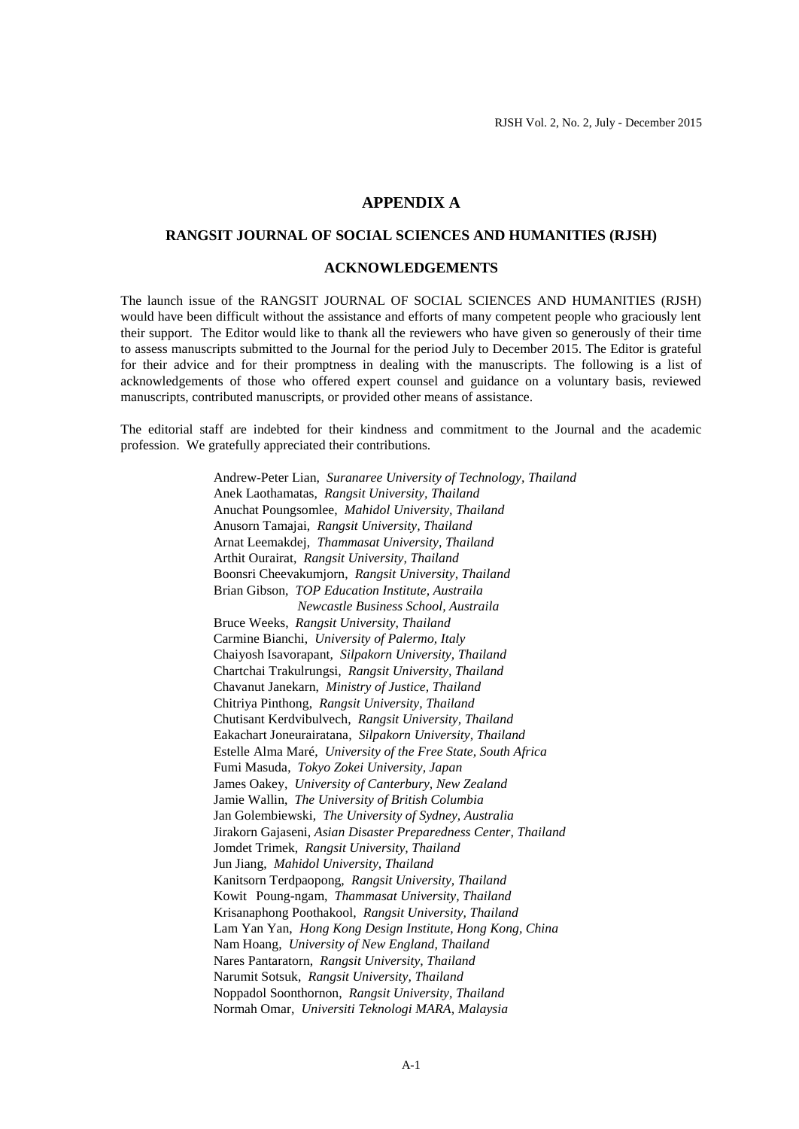## **APPENDIX A**

## **RANGSIT JOURNAL OF SOCIAL SCIENCES AND HUMANITIES (RJSH)**

## **ACKNOWLEDGEMENTS**

The launch issue of the RANGSIT JOURNAL OF SOCIAL SCIENCES AND HUMANITIES (RJSH) would have been difficult without the assistance and efforts of many competent people who graciously lent their support. The Editor would like to thank all the reviewers who have given so generously of their time to assess manuscripts submitted to the Journal for the period July to December 2015. The Editor is grateful for their advice and for their promptness in dealing with the manuscripts. The following is a list of acknowledgements of those who offered expert counsel and guidance on a voluntary basis, reviewed manuscripts, contributed manuscripts, or provided other means of assistance.

The editorial staff are indebted for their kindness and commitment to the Journal and the academic profession. We gratefully appreciated their contributions.

> Andrew-Peter Lian, *Suranaree University of Technology, Thailand* Anek Laothamatas, *Rangsit University, Thailand* Anuchat Poungsomlee, *Mahidol University, Thailand* Anusorn Tamajai, *Rangsit University, Thailand* Arnat Leemakdej, *Thammasat University, Thailand* Arthit Ourairat, *Rangsit University, Thailand* Boonsri Cheevakumjorn, *Rangsit University, Thailand* Brian Gibson, *TOP Education Institute, Austraila Newcastle Business School, Austraila* Bruce Weeks, *Rangsit University, Thailand* Carmine Bianchi, *University of Palermo, Italy* Chaiyosh Isavorapant, *Silpakorn University, Thailand* Chartchai Trakulrungsi, *Rangsit University, Thailand* Chavanut Janekarn, *Ministry of Justice, Thailand* Chitriya Pinthong, *Rangsit University, Thailand* Chutisant Kerdvibulvech, *Rangsit University, Thailand* Eakachart Joneurairatana, *Silpakorn University, Thailand* Estelle Alma Maré, *University of the Free State, South Africa* Fumi Masuda, *Tokyo Zokei University, Japan* James Oakey, *University of Canterbury, New Zealand* Jamie Wallin, *The University of British Columbia* Jan Golembiewski, *The University of Sydney, Australia* Jirakorn Gajaseni, *Asian Disaster Preparedness Center, Thailand* Jomdet Trimek, *Rangsit University, Thailand* Jun Jiang, *Mahidol University, Thailand* Kanitsorn Terdpaopong, *Rangsit University, Thailand* Kowit Poung-ngam, *Thammasat University, Thailand* Krisanaphong Poothakool, *Rangsit University, Thailand* Lam Yan Yan, *Hong Kong Design Institute, Hong Kong, China* Nam Hoang, *University of New England, Thailand* Nares Pantaratorn, *Rangsit University, Thailand* Narumit Sotsuk, *Rangsit University, Thailand* Noppadol Soonthornon, *Rangsit University, Thailand* Normah Omar, *Universiti Teknologi MARA, Malaysia*